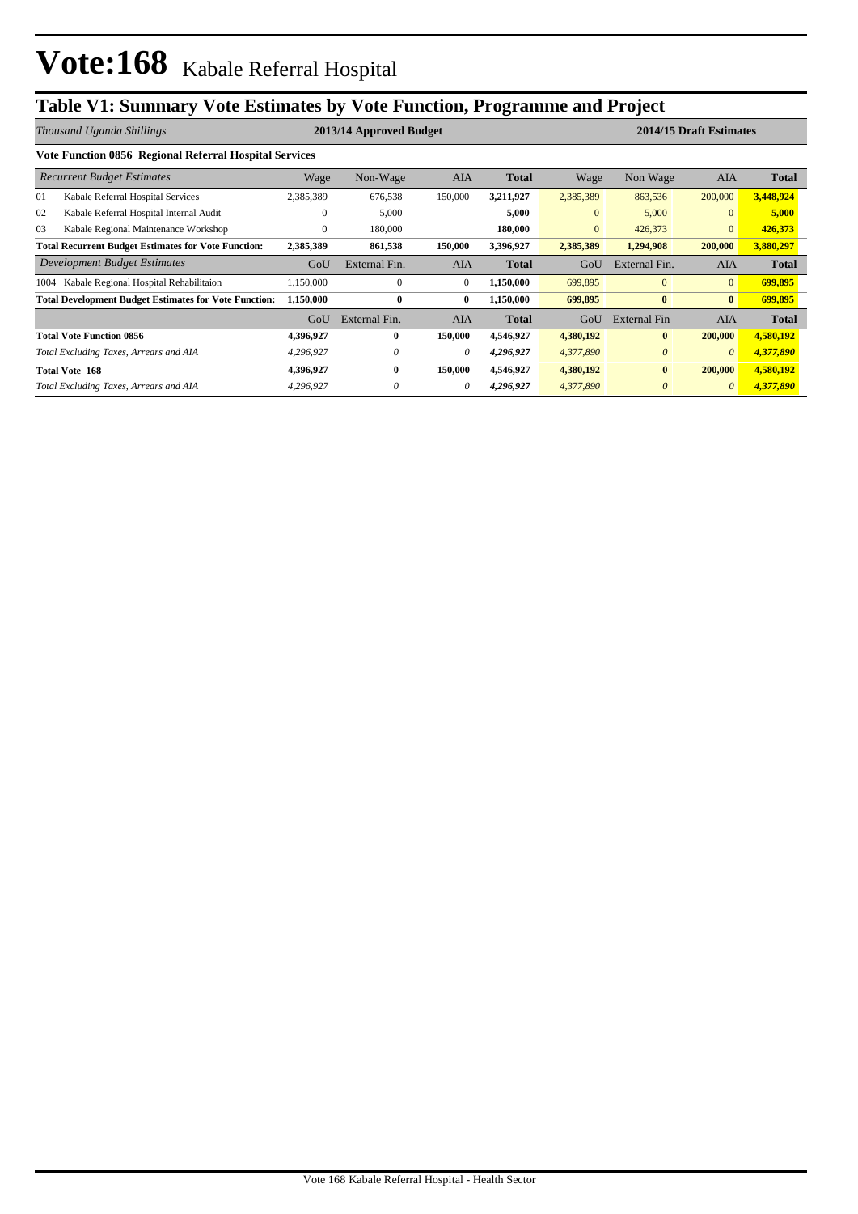# **Table V1: Summary Vote Estimates by Vote Function, Programme and Project**

|                                                            | Thousand Uganda Shillings                                    |              | 2013/14 Approved Budget |              |              | 2014/15 Draft Estimates |                     |                |              |
|------------------------------------------------------------|--------------------------------------------------------------|--------------|-------------------------|--------------|--------------|-------------------------|---------------------|----------------|--------------|
|                                                            | Vote Function 0856 Regional Referral Hospital Services       |              |                         |              |              |                         |                     |                |              |
|                                                            | <b>Recurrent Budget Estimates</b>                            | Wage         | Non-Wage                | AIA          | <b>Total</b> | Wage                    | Non Wage            | AIA            | <b>Total</b> |
| 01                                                         | Kabale Referral Hospital Services                            | 2,385,389    | 676,538                 | 150,000      | 3,211,927    | 2,385,389               | 863,536             | 200,000        | 3,448,924    |
| 02                                                         | Kabale Referral Hospital Internal Audit                      | $\mathbf{0}$ | 5,000                   |              | 5,000        | $\overline{0}$          | 5,000               | $\mathbf{0}$   | 5,000        |
| 03                                                         | Kabale Regional Maintenance Workshop                         | $\mathbf{0}$ | 180,000                 |              | 180,000      | $\overline{0}$          | 426,373             | $\mathbf{0}$   | 426,373      |
| <b>Total Recurrent Budget Estimates for Vote Function:</b> |                                                              | 2,385,389    | 861,538                 | 150,000      | 3,396,927    | 2,385,389               | 1,294,908           | 200,000        | 3,880,297    |
|                                                            | Development Budget Estimates                                 | GoU          | External Fin.           | <b>AIA</b>   | <b>Total</b> | GoU                     | External Fin.       | <b>AIA</b>     | <b>Total</b> |
| 1004                                                       | Kabale Regional Hospital Rehabilitaion                       | 1,150,000    | $\mathbf{0}$            | $\mathbf{0}$ | 1,150,000    | 699,895                 | $\overline{0}$      | $\overline{0}$ | 699,895      |
|                                                            | <b>Total Development Budget Estimates for Vote Function:</b> | 1,150,000    | $\bf{0}$                | $\bf{0}$     | 1,150,000    | 699,895                 | $\bf{0}$            | $\bf{0}$       | 699,895      |
|                                                            |                                                              | GoU          | External Fin.           | <b>AIA</b>   | <b>Total</b> | GoU                     | <b>External Fin</b> | <b>AIA</b>     | <b>Total</b> |
|                                                            | <b>Total Vote Function 0856</b>                              | 4,396,927    | $\bf{0}$                | 150,000      | 4,546,927    | 4,380,192               | $\bf{0}$            | 200,000        | 4,580,192    |
|                                                            | Total Excluding Taxes, Arrears and AIA                       | 4,296,927    | 0                       | $\theta$     | 4,296,927    | 4,377,890               | $\theta$            | $\theta$       | 4,377,890    |
|                                                            | <b>Total Vote 168</b>                                        | 4,396,927    | $\bf{0}$                | 150,000      | 4,546,927    | 4,380,192               | $\bf{0}$            | 200,000        | 4,580,192    |
|                                                            | Total Excluding Taxes, Arrears and AIA                       | 4,296,927    |                         | 0            | 4,296,927    | 4,377,890               | $\theta$            | $\theta$       | 4,377,890    |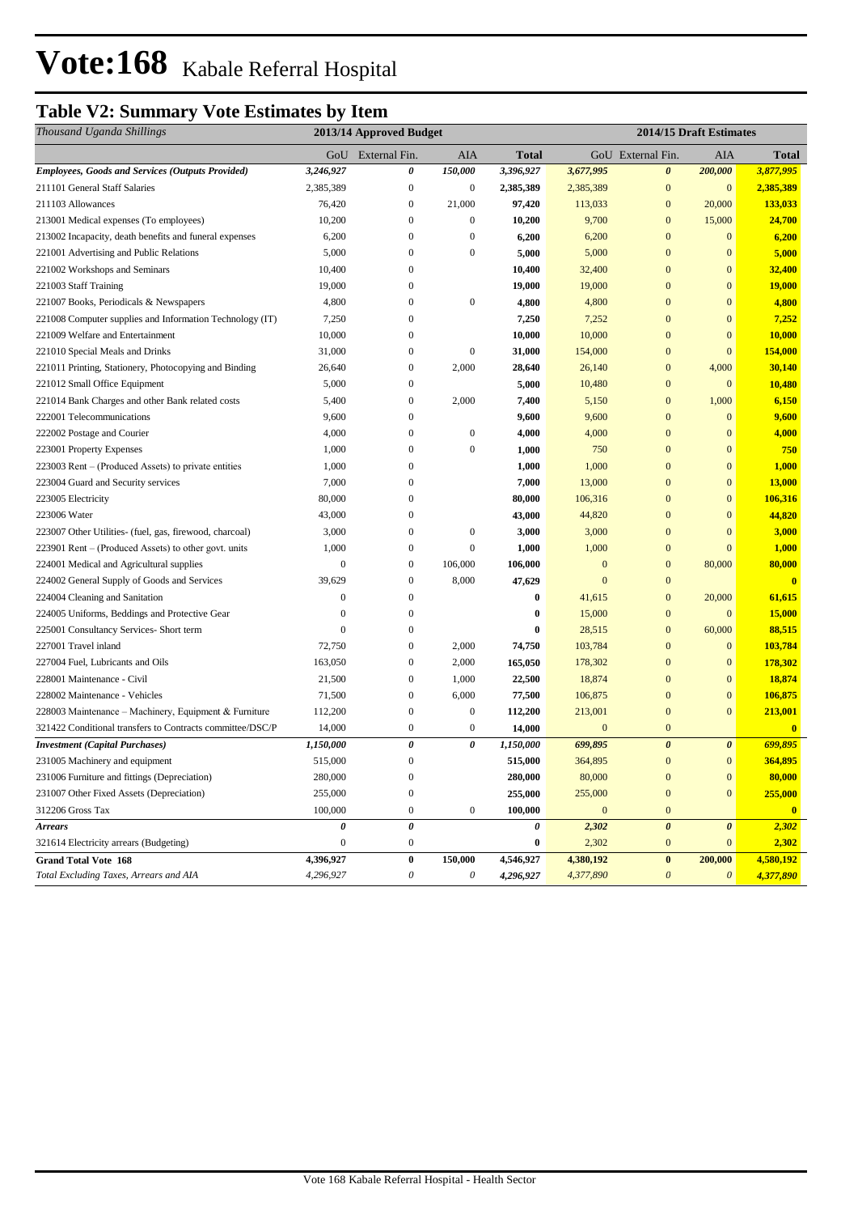# **Table V2: Summary Vote Estimates by Item**

| Thousand Uganda Shillings                                 | 2013/14 Approved Budget |                           |                  |              |              | 2014/15 Draft Estimates |                       |               |  |
|-----------------------------------------------------------|-------------------------|---------------------------|------------------|--------------|--------------|-------------------------|-----------------------|---------------|--|
|                                                           |                         | GoU External Fin.         | <b>AIA</b>       | <b>Total</b> |              | GoU External Fin.       | AIA                   | <b>Total</b>  |  |
| <b>Employees, Goods and Services (Outputs Provided)</b>   | 3,246,927               | 0                         | 150,000          | 3,396,927    | 3,677,995    | $\boldsymbol{\theta}$   | 200,000               | 3,877,995     |  |
| 211101 General Staff Salaries                             | 2,385,389               | $\mathbf{0}$              | $\boldsymbol{0}$ | 2,385,389    | 2,385,389    | $\mathbf{0}$            | $\bf{0}$              | 2,385,389     |  |
| 211103 Allowances                                         | 76,420                  | $\mathbf{0}$              | 21,000           | 97,420       | 113,033      | $\boldsymbol{0}$        | 20,000                | 133,033       |  |
| 213001 Medical expenses (To employees)                    | 10,200                  | $\mathbf{0}$              | $\boldsymbol{0}$ | 10,200       | 9,700        | $\overline{0}$          | 15,000                | 24,700        |  |
| 213002 Incapacity, death benefits and funeral expenses    | 6,200                   | $\mathbf{0}$              | $\boldsymbol{0}$ | 6,200        | 6,200        | $\overline{0}$          | $\mathbf{0}$          | 6,200         |  |
| 221001 Advertising and Public Relations                   | 5,000                   | $\boldsymbol{0}$          | $\boldsymbol{0}$ | 5,000        | 5,000        | $\mathbf{0}$            | $\mathbf{0}$          | 5,000         |  |
| 221002 Workshops and Seminars                             | 10,400                  | $\boldsymbol{0}$          |                  | 10,400       | 32,400       | $\mathbf{0}$            | $\mathbf{0}$          | 32,400        |  |
| 221003 Staff Training                                     | 19,000                  | $\boldsymbol{0}$          |                  | 19,000       | 19,000       | $\bf{0}$                | $\mathbf{0}$          | <b>19,000</b> |  |
| 221007 Books, Periodicals & Newspapers                    | 4,800                   | $\boldsymbol{0}$          | $\boldsymbol{0}$ | 4,800        | 4,800        | $\mathbf{0}$            | $\mathbf{0}$          | 4,800         |  |
| 221008 Computer supplies and Information Technology (IT)  | 7,250                   | $\boldsymbol{0}$          |                  | 7,250        | 7,252        | $\mathbf{0}$            | $\mathbf{0}$          | 7,252         |  |
| 221009 Welfare and Entertainment                          | 10,000                  | $\mathbf{0}$              |                  | 10,000       | 10,000       | $\overline{0}$          | $\mathbf{0}$          | 10,000        |  |
| 221010 Special Meals and Drinks                           | 31,000                  | $\boldsymbol{0}$          | $\mathbf{0}$     | 31,000       | 154,000      | $\overline{0}$          | $\mathbf{0}$          | 154,000       |  |
| 221011 Printing, Stationery, Photocopying and Binding     | 26,640                  | $\boldsymbol{0}$          | 2,000            | 28,640       | 26,140       | $\mathbf{0}$            | 4,000                 | 30,140        |  |
| 221012 Small Office Equipment                             | 5,000                   | $\mathbf{0}$              |                  | 5,000        | 10,480       | $\mathbf{0}$            | $\mathbf{0}$          | 10,480        |  |
| 221014 Bank Charges and other Bank related costs          | 5,400                   | $\mathbf{0}$              | 2,000            | 7,400        | 5,150        | $\mathbf{0}$            | 1,000                 | 6,150         |  |
| 222001 Telecommunications                                 | 9,600                   | $\boldsymbol{0}$          |                  | 9,600        | 9,600        | $\mathbf{0}$            | $\mathbf{0}$          | 9,600         |  |
| 222002 Postage and Courier                                | 4,000                   | $\mathbf{0}$              | $\boldsymbol{0}$ | 4,000        | 4,000        | $\boldsymbol{0}$        | $\mathbf{0}$          | 4,000         |  |
| 223001 Property Expenses                                  | 1,000                   | $\boldsymbol{0}$          | $\boldsymbol{0}$ | 1,000        | 750          | $\mathbf{0}$            | $\mathbf{0}$          | 750           |  |
| 223003 Rent – (Produced Assets) to private entities       | 1,000                   | $\boldsymbol{0}$          |                  | 1,000        | 1,000        | $\mathbf{0}$            | $\mathbf{0}$          | 1,000         |  |
| 223004 Guard and Security services                        | 7,000                   | $\boldsymbol{0}$          |                  | 7,000        | 13,000       | $\mathbf{0}$            | $\mathbf{0}$          | 13,000        |  |
| 223005 Electricity                                        | 80,000                  | $\boldsymbol{0}$          |                  | 80,000       | 106,316      | $\boldsymbol{0}$        | $\mathbf{0}$          | 106,316       |  |
| 223006 Water                                              | 43,000                  | $\boldsymbol{0}$          |                  | 43,000       | 44,820       | $\boldsymbol{0}$        | $\Omega$              | 44,820        |  |
| 223007 Other Utilities- (fuel, gas, firewood, charcoal)   | 3,000                   | $\boldsymbol{0}$          | $\boldsymbol{0}$ | 3,000        | 3,000        | $\overline{0}$          | $\overline{0}$        | 3,000         |  |
| 223901 Rent – (Produced Assets) to other govt. units      | 1,000                   | $\boldsymbol{0}$          | $\boldsymbol{0}$ | 1,000        | 1,000        | $\boldsymbol{0}$        | $\overline{0}$        | 1,000         |  |
| 224001 Medical and Agricultural supplies                  | $\mathbf{0}$            | $\boldsymbol{0}$          | 106,000          | 106,000      | $\mathbf{0}$ | $\mathbf{0}$            | 80,000                | 80,000        |  |
| 224002 General Supply of Goods and Services               | 39,629                  | $\mathbf{0}$              | 8,000            | 47,629       | $\mathbf{0}$ | $\boldsymbol{0}$        |                       | $\mathbf{0}$  |  |
| 224004 Cleaning and Sanitation                            | $\mathbf{0}$            | $\mathbf{0}$              |                  | $\bf{0}$     | 41,615       | $\boldsymbol{0}$        | 20,000                | 61,615        |  |
| 224005 Uniforms, Beddings and Protective Gear             | $\mathbf{0}$            | $\boldsymbol{0}$          |                  | $\bf{0}$     | 15,000       | $\mathbf{0}$            | $\mathbf{0}$          | 15,000        |  |
| 225001 Consultancy Services- Short term                   | $\Omega$                | $\boldsymbol{0}$          |                  | $\bf{0}$     | 28,515       | $\mathbf{0}$            | 60,000                | 88,515        |  |
| 227001 Travel inland                                      | 72,750                  | $\boldsymbol{0}$          | 2,000            | 74,750       | 103,784      | $\mathbf{0}$            | $\mathbf{0}$          | 103,784       |  |
| 227004 Fuel, Lubricants and Oils                          | 163,050                 | $\mathbf{0}$              | 2,000            | 165,050      | 178,302      | $\boldsymbol{0}$        | $\mathbf{0}$          | 178,302       |  |
| 228001 Maintenance - Civil                                | 21,500                  | $\boldsymbol{0}$          | 1,000            | 22,500       | 18,874       | $\overline{0}$          | $\mathbf{0}$          | 18,874        |  |
| 228002 Maintenance - Vehicles                             | 71,500                  | $\mathbf{0}$              | 6,000            | 77,500       | 106,875      | $\overline{0}$          | $\mathbf{0}$          | 106,875       |  |
| 228003 Maintenance - Machinery, Equipment & Furniture     | 112,200                 | $\boldsymbol{0}$          | $\boldsymbol{0}$ | 112,200      | 213,001      | $\mathbf{0}$            | $\mathbf{0}$          | 213,001       |  |
| 321422 Conditional transfers to Contracts committee/DSC/P | 14,000                  | $\boldsymbol{0}$          | $\boldsymbol{0}$ | 14,000       | $\mathbf{0}$ | $\boldsymbol{0}$        |                       | $\bf{0}$      |  |
| <b>Investment</b> (Capital Purchases)                     | 1,150,000               | 0                         | 0                | 1,150,000    | 699,895      | $\boldsymbol{\theta}$   | $\boldsymbol{\theta}$ | 699,895       |  |
| 231005 Machinery and equipment                            | 515,000                 | $\boldsymbol{0}$          |                  | 515,000      | 364,895      | $\overline{0}$          | $\mathbf{0}$          | 364,895       |  |
| 231006 Furniture and fittings (Depreciation)              | 280,000                 | $\boldsymbol{0}$          |                  | 280,000      | 80,000       | $\boldsymbol{0}$        | $\mathbf{0}$          | 80,000        |  |
| 231007 Other Fixed Assets (Depreciation)                  | 255,000                 | $\boldsymbol{0}$          |                  | 255,000      | 255,000      | $\boldsymbol{0}$        | $\mathbf{0}$          | 255,000       |  |
| 312206 Gross Tax                                          | 100,000                 | $\boldsymbol{0}$          | $\boldsymbol{0}$ | 100,000      | $\mathbf{0}$ | $\boldsymbol{0}$        |                       | $\mathbf{0}$  |  |
| <b>Arrears</b>                                            | 0                       | 0                         |                  | 0            | 2,302        | $\boldsymbol{\theta}$   | $\boldsymbol{\theta}$ | 2,302         |  |
| 321614 Electricity arrears (Budgeting)                    | $\boldsymbol{0}$        | $\boldsymbol{0}$          |                  | $\bf{0}$     | 2,302        | $\boldsymbol{0}$        | $\mathbf{0}$          | 2,302         |  |
| <b>Grand Total Vote 168</b>                               | 4,396,927               | $\boldsymbol{0}$          | 150,000          | 4,546,927    | 4,380,192    | $\bf{0}$                | 200,000               | 4,580,192     |  |
| Total Excluding Taxes, Arrears and AIA                    | 4,296,927               | $\boldsymbol{\mathit{0}}$ | 0                | 4,296,927    | 4,377,890    | $\boldsymbol{\theta}$   | $\boldsymbol{\theta}$ | 4,377,890     |  |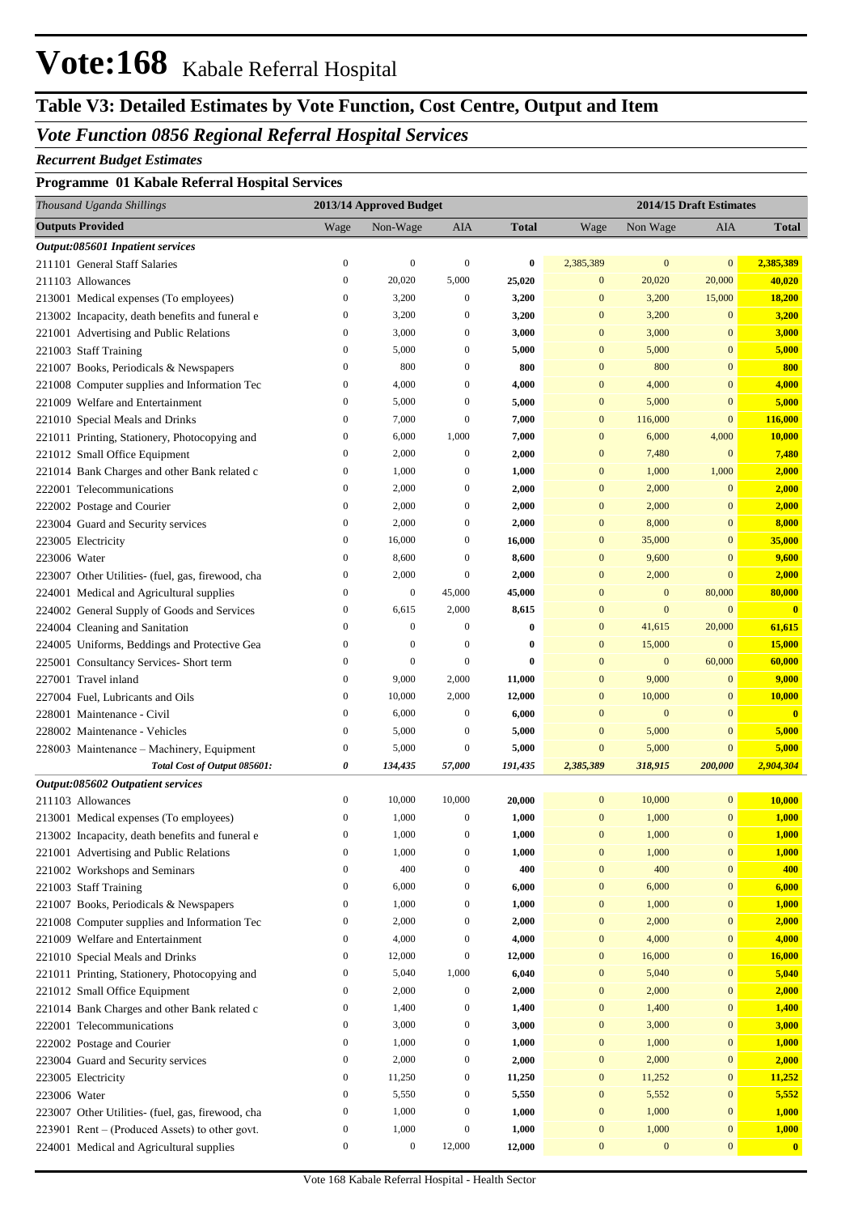# **Vote:168** Kabale Referral Hospital

# **Table V3: Detailed Estimates by Vote Function, Cost Centre, Output and Item**

#### *Vote Function 0856 Regional Referral Hospital Services*

#### *Recurrent Budget Estimates*

#### **Programme 01 Kabale Referral Hospital Services**

| Thousand Uganda Shillings                         |                  | 2013/14 Approved Budget |                  |              |                  |                  | 2014/15 Draft Estimates |                         |
|---------------------------------------------------|------------------|-------------------------|------------------|--------------|------------------|------------------|-------------------------|-------------------------|
| <b>Outputs Provided</b>                           | Wage             | Non-Wage                | AIA              | <b>Total</b> | Wage             | Non Wage         | AIA                     | <b>Total</b>            |
| Output:085601 Inpatient services                  |                  |                         |                  |              |                  |                  |                         |                         |
| 211101 General Staff Salaries                     | $\boldsymbol{0}$ | $\boldsymbol{0}$        | $\boldsymbol{0}$ | $\bf{0}$     | 2,385,389        | $\mathbf{0}$     | $\mathbf{0}$            | 2,385,389               |
| 211103 Allowances                                 | $\boldsymbol{0}$ | 20,020                  | 5,000            | 25,020       | $\overline{0}$   | 20,020           | 20,000                  | 40,020                  |
| 213001 Medical expenses (To employees)            | $\boldsymbol{0}$ | 3,200                   | $\boldsymbol{0}$ | 3,200        | $\mathbf{0}$     | 3,200            | 15,000                  | 18,200                  |
| 213002 Incapacity, death benefits and funeral e   | $\boldsymbol{0}$ | 3,200                   | $\boldsymbol{0}$ | 3,200        | $\mathbf{0}$     | 3,200            | $\mathbf{0}$            | 3,200                   |
| 221001 Advertising and Public Relations           | $\boldsymbol{0}$ | 3,000                   | $\boldsymbol{0}$ | 3,000        | $\mathbf{0}$     | 3,000            | $\bf{0}$                | 3,000                   |
| 221003 Staff Training                             | $\boldsymbol{0}$ | 5,000                   | $\boldsymbol{0}$ | 5,000        | $\mathbf{0}$     | 5,000            | $\bf{0}$                | 5,000                   |
| 221007 Books, Periodicals & Newspapers            | $\boldsymbol{0}$ | 800                     | $\boldsymbol{0}$ | 800          | $\mathbf{0}$     | 800              | $\bf{0}$                | 800                     |
| 221008 Computer supplies and Information Tec      | $\boldsymbol{0}$ | 4,000                   | $\boldsymbol{0}$ | 4,000        | $\mathbf{0}$     | 4,000            | $\bf{0}$                | 4,000                   |
| 221009 Welfare and Entertainment                  | $\boldsymbol{0}$ | 5,000                   | $\boldsymbol{0}$ | 5,000        | $\mathbf{0}$     | 5,000            | $\bf{0}$                | 5,000                   |
| 221010 Special Meals and Drinks                   | $\boldsymbol{0}$ | 7,000                   | $\boldsymbol{0}$ | 7,000        | $\mathbf{0}$     | 116,000          | $\mathbf{0}$            | 116,000                 |
| 221011 Printing, Stationery, Photocopying and     | $\boldsymbol{0}$ | 6,000                   | 1,000            | 7,000        | $\mathbf{0}$     | 6,000            | 4,000                   | 10,000                  |
| 221012 Small Office Equipment                     | $\boldsymbol{0}$ | 2,000                   | $\boldsymbol{0}$ | 2,000        | $\mathbf{0}$     | 7,480            | $\mathbf{0}$            | 7,480                   |
| 221014 Bank Charges and other Bank related c      | $\boldsymbol{0}$ | 1,000                   | $\boldsymbol{0}$ | 1,000        | $\mathbf{0}$     | 1,000            | 1,000                   | 2,000                   |
| 222001 Telecommunications                         | $\boldsymbol{0}$ | 2,000                   | $\boldsymbol{0}$ | 2,000        | $\mathbf{0}$     | 2,000            | $\mathbf{0}$            | 2,000                   |
| 222002 Postage and Courier                        | $\boldsymbol{0}$ | 2,000                   | $\boldsymbol{0}$ | 2,000        | $\mathbf{0}$     | 2,000            | $\bf{0}$                | 2,000                   |
| 223004 Guard and Security services                | $\boldsymbol{0}$ | 2,000                   | $\boldsymbol{0}$ | 2,000        | $\mathbf{0}$     | 8,000            | $\bf{0}$                | 8,000                   |
| 223005 Electricity                                | $\boldsymbol{0}$ | 16,000                  | $\boldsymbol{0}$ | 16,000       | $\mathbf{0}$     | 35,000           | $\overline{0}$          | 35,000                  |
| 223006 Water                                      | $\boldsymbol{0}$ | 8,600                   | $\boldsymbol{0}$ | 8,600        | $\mathbf{0}$     | 9,600            | $\bf{0}$                | 9,600                   |
| 223007 Other Utilities- (fuel, gas, firewood, cha | $\boldsymbol{0}$ | 2,000                   | $\boldsymbol{0}$ | 2,000        | $\mathbf{0}$     | 2,000            | $\overline{0}$          | 2,000                   |
| 224001 Medical and Agricultural supplies          | $\boldsymbol{0}$ | $\boldsymbol{0}$        | 45,000           | 45,000       | $\mathbf{0}$     | $\mathbf{0}$     | 80,000                  | 80,000                  |
| 224002 General Supply of Goods and Services       | $\boldsymbol{0}$ | 6,615                   | 2,000            | 8,615        | $\mathbf{0}$     | $\mathbf{0}$     | $\mathbf{0}$            | $\overline{\mathbf{0}}$ |
| 224004 Cleaning and Sanitation                    | $\boldsymbol{0}$ | $\mathbf{0}$            | $\boldsymbol{0}$ | $\bf{0}$     | $\mathbf{0}$     | 41,615           | 20,000                  | 61,615                  |
| 224005 Uniforms, Beddings and Protective Gea      | $\boldsymbol{0}$ | $\mathbf{0}$            | $\boldsymbol{0}$ | $\bf{0}$     | $\mathbf{0}$     | 15,000           | $\mathbf{0}$            | 15,000                  |
| 225001 Consultancy Services- Short term           | $\boldsymbol{0}$ | $\boldsymbol{0}$        | $\boldsymbol{0}$ | $\bf{0}$     | $\mathbf{0}$     | $\boldsymbol{0}$ | 60,000                  | 60,000                  |
| 227001 Travel inland                              | $\boldsymbol{0}$ | 9,000                   | 2,000            | 11,000       | $\mathbf{0}$     | 9,000            | $\mathbf{0}$            | 9,000                   |
| 227004 Fuel, Lubricants and Oils                  | $\boldsymbol{0}$ | 10,000                  | 2,000            | 12,000       | $\mathbf{0}$     | 10,000           | $\bf{0}$                | 10,000                  |
| 228001 Maintenance - Civil                        | $\boldsymbol{0}$ | 6,000                   | $\boldsymbol{0}$ | 6,000        | $\mathbf{0}$     | $\boldsymbol{0}$ | $\bf{0}$                | $\overline{\mathbf{0}}$ |
| 228002 Maintenance - Vehicles                     | $\boldsymbol{0}$ | 5,000                   | $\boldsymbol{0}$ | 5,000        | $\mathbf{0}$     | 5,000            | $\overline{0}$          | 5,000                   |
| 228003 Maintenance - Machinery, Equipment         | $\boldsymbol{0}$ | 5,000                   | $\boldsymbol{0}$ | 5,000        | $\mathbf{0}$     | 5,000            | $\mathbf{0}$            | 5,000                   |
| Total Cost of Output 085601:                      | 0                | 134,435                 | 57,000           | 191,435      | 2,385,389        | 318,915          | 200,000                 | 2,904,304               |
| Output:085602 Outpatient services                 |                  |                         |                  |              |                  |                  |                         |                         |
| 211103 Allowances                                 | $\boldsymbol{0}$ | 10,000                  | 10,000           | 20,000       | $\boldsymbol{0}$ | 10,000           | $\boldsymbol{0}$        | 10,000                  |
| 213001 Medical expenses (To employees)            | $\boldsymbol{0}$ | 1,000                   | $\boldsymbol{0}$ | 1,000        | $\boldsymbol{0}$ | 1,000            | $\boldsymbol{0}$        | 1,000                   |
| 213002 Incapacity, death benefits and funeral e   | $\boldsymbol{0}$ | 1,000                   | $\boldsymbol{0}$ | 1,000        | $\overline{0}$   | 1,000            | $\mathbf{0}$            | 1,000                   |
| 221001 Advertising and Public Relations           | $\boldsymbol{0}$ | 1,000                   | $\boldsymbol{0}$ | 1,000        | $\boldsymbol{0}$ | 1,000            | $\boldsymbol{0}$        | 1,000                   |
| 221002 Workshops and Seminars                     | $\boldsymbol{0}$ | 400                     | $\boldsymbol{0}$ | 400          | $\boldsymbol{0}$ | 400              | $\boldsymbol{0}$        | 400                     |
| 221003 Staff Training                             | $\boldsymbol{0}$ | 6,000                   | $\boldsymbol{0}$ | 6,000        | $\boldsymbol{0}$ | 6,000            | $\boldsymbol{0}$        | 6,000                   |
| 221007 Books, Periodicals & Newspapers            | $\boldsymbol{0}$ | 1,000                   | $\boldsymbol{0}$ | 1,000        | $\boldsymbol{0}$ | 1,000            | $\boldsymbol{0}$        | 1,000                   |
| 221008 Computer supplies and Information Tec      | $\boldsymbol{0}$ | 2,000                   | $\boldsymbol{0}$ | 2,000        | $\boldsymbol{0}$ | 2,000            | $\boldsymbol{0}$        | 2,000                   |
| 221009 Welfare and Entertainment                  | $\boldsymbol{0}$ | 4,000                   | $\boldsymbol{0}$ | 4,000        | $\boldsymbol{0}$ | 4,000            | $\boldsymbol{0}$        | 4,000                   |
| 221010 Special Meals and Drinks                   | $\boldsymbol{0}$ | 12,000                  | $\boldsymbol{0}$ | 12,000       | $\boldsymbol{0}$ | 16,000           | $\boldsymbol{0}$        | 16,000                  |
| 221011 Printing, Stationery, Photocopying and     | $\boldsymbol{0}$ | 5,040                   | 1,000            | 6,040        | $\boldsymbol{0}$ | 5,040            | $\boldsymbol{0}$        | 5,040                   |
| 221012 Small Office Equipment                     | $\boldsymbol{0}$ | 2,000                   | $\boldsymbol{0}$ | 2,000        | $\boldsymbol{0}$ | 2,000            | $\boldsymbol{0}$        | 2,000                   |
| 221014 Bank Charges and other Bank related c      | $\boldsymbol{0}$ | 1,400                   | $\boldsymbol{0}$ | 1,400        | $\boldsymbol{0}$ | 1,400            | $\boldsymbol{0}$        | 1,400                   |
| 222001 Telecommunications                         | $\boldsymbol{0}$ | 3,000                   | $\boldsymbol{0}$ | 3,000        | $\boldsymbol{0}$ | 3,000            | $\boldsymbol{0}$        | 3,000                   |
| 222002 Postage and Courier                        | $\boldsymbol{0}$ | 1,000                   | $\boldsymbol{0}$ | 1,000        | $\boldsymbol{0}$ | 1,000            | $\boldsymbol{0}$        | 1,000                   |
| 223004 Guard and Security services                | $\boldsymbol{0}$ | 2,000                   | $\boldsymbol{0}$ | 2,000        | $\boldsymbol{0}$ | 2,000            | $\boldsymbol{0}$        | 2,000                   |
| 223005 Electricity                                | $\boldsymbol{0}$ | 11,250                  | $\boldsymbol{0}$ | 11,250       | $\boldsymbol{0}$ | 11,252           | $\boldsymbol{0}$        | 11,252                  |
| 223006 Water                                      | $\boldsymbol{0}$ | 5,550                   | $\boldsymbol{0}$ | 5,550        | $\boldsymbol{0}$ | 5,552            | $\boldsymbol{0}$        | 5,552                   |
| 223007 Other Utilities- (fuel, gas, firewood, cha | $\boldsymbol{0}$ | 1,000                   | $\boldsymbol{0}$ | 1,000        | $\boldsymbol{0}$ | 1,000            | $\boldsymbol{0}$        | 1,000                   |
| 223901 Rent - (Produced Assets) to other govt.    | $\boldsymbol{0}$ | 1,000                   | $\boldsymbol{0}$ | 1,000        | $\boldsymbol{0}$ | 1,000            | $\boldsymbol{0}$        | 1,000                   |
| 224001 Medical and Agricultural supplies          | $\boldsymbol{0}$ | $\boldsymbol{0}$        | 12,000           | 12,000       | $\boldsymbol{0}$ | $\boldsymbol{0}$ | $\boldsymbol{0}$        | $\mathbf{0}$            |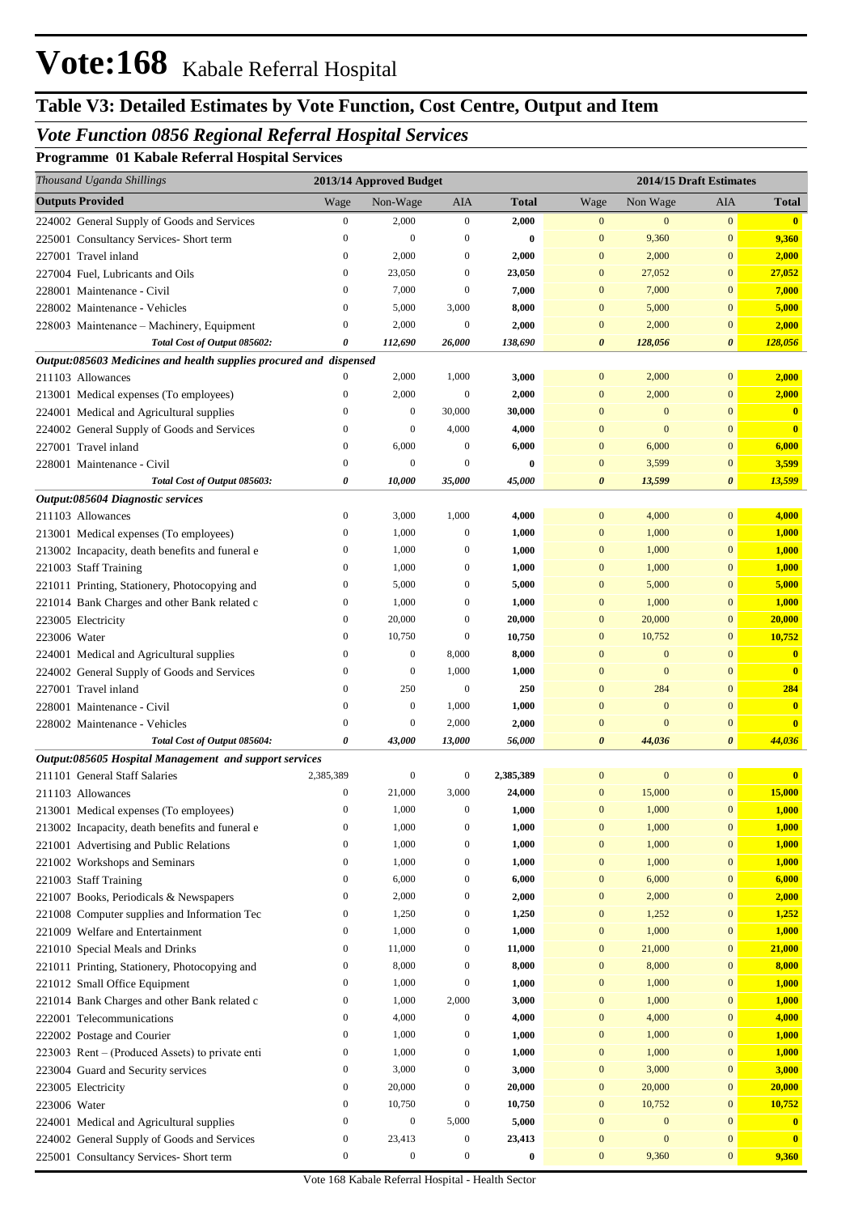# **Table V3: Detailed Estimates by Vote Function, Cost Centre, Output and Item**

## *Vote Function 0856 Regional Referral Hospital Services*

**Programme 01 Kabale Referral Hospital Services**

| Thousand Uganda Shillings                                          | 2013/14 Approved Budget |                  |                           |                | 2014/15 Draft Estimates |                |                  |                         |
|--------------------------------------------------------------------|-------------------------|------------------|---------------------------|----------------|-------------------------|----------------|------------------|-------------------------|
| <b>Outputs Provided</b>                                            | Wage                    | Non-Wage         | AIA                       | <b>Total</b>   | Wage                    | Non Wage       | AIA              | Total                   |
| 224002 General Supply of Goods and Services                        | $\boldsymbol{0}$        | 2,000            | $\mathbf{0}$              | 2,000          | $\boldsymbol{0}$        | $\mathbf{0}$   | $\boldsymbol{0}$ | $\mathbf{0}$            |
| 225001 Consultancy Services- Short term                            | $\overline{0}$          | $\mathbf{0}$     | $\boldsymbol{0}$          | 0              | $\mathbf{0}$            | 9,360          | $\bf{0}$         | 9,360                   |
| 227001 Travel inland                                               | $\boldsymbol{0}$        | 2,000            | $\boldsymbol{0}$          | 2,000          | $\mathbf{0}$            | 2,000          | $\mathbf{0}$     | 2,000                   |
| 227004 Fuel, Lubricants and Oils                                   | $\overline{0}$          | 23,050           | $\boldsymbol{0}$          | 23,050         | $\mathbf{0}$            | 27,052         | $\mathbf{0}$     | 27,052                  |
| 228001 Maintenance - Civil                                         | $\mathbf{0}$            | 7,000            | $\boldsymbol{0}$          | 7,000          | $\mathbf{0}$            | 7,000          | $\mathbf{0}$     | 7,000                   |
| 228002 Maintenance - Vehicles                                      | $\mathbf{0}$            | 5,000            | 3,000                     | 8,000          | $\mathbf{0}$            | 5,000          | $\mathbf{0}$     | 5,000                   |
| 228003 Maintenance - Machinery, Equipment                          | $\overline{0}$          | 2,000            | $\mathbf{0}$              | 2,000          | $\mathbf{0}$            | 2,000          | $\mathbf{0}$     | 2,000                   |
| Total Cost of Output 085602:                                       | 0                       | 112,690          | 26,000                    | 138,690        | 0                       | 128,056        | 0                | 128,056                 |
| Output:085603 Medicines and health supplies procured and dispensed |                         |                  |                           |                |                         |                |                  |                         |
| 211103 Allowances                                                  | $\mathbf{0}$            | 2,000            | 1,000                     | 3,000          | $\mathbf{0}$            | 2,000          | $\overline{0}$   | 2,000                   |
| 213001 Medical expenses (To employees)                             | $\mathbf{0}$            | 2,000            | $\boldsymbol{0}$          | 2,000          | $\mathbf{0}$            | 2,000          | $\mathbf{0}$     | 2,000                   |
| 224001 Medical and Agricultural supplies                           | $\theta$                | $\boldsymbol{0}$ | 30,000                    | 30,000         | $\overline{0}$          | $\mathbf{0}$   | $\bf{0}$         | $\mathbf{0}$            |
| 224002 General Supply of Goods and Services                        | $\mathbf{0}$            | $\mathbf{0}$     | 4,000                     | 4,000          | $\mathbf{0}$            | $\mathbf{0}$   | $\mathbf{0}$     | $\overline{\mathbf{0}}$ |
| 227001 Travel inland                                               | $\boldsymbol{0}$        | 6,000            | $\boldsymbol{0}$          | 6,000          | $\mathbf{0}$            | 6,000          | $\mathbf{0}$     | 6,000                   |
| 228001 Maintenance - Civil                                         | $\boldsymbol{0}$        | $\mathbf{0}$     | $\boldsymbol{0}$          | 0              | $\mathbf{0}$            | 3,599          | $\mathbf{0}$     | 3,599                   |
| Total Cost of Output 085603:                                       | 0                       | 10,000           | 35,000                    | 45,000         | 0                       | 13,599         | 0                | 13,599                  |
| Output:085604 Diagnostic services                                  | $\boldsymbol{0}$        |                  |                           |                | $\mathbf{0}$            |                | $\overline{0}$   |                         |
| 211103 Allowances<br>213001 Medical expenses (To employees)        | $\boldsymbol{0}$        | 3,000<br>1,000   | 1,000<br>$\boldsymbol{0}$ | 4,000<br>1,000 | $\mathbf{0}$            | 4,000<br>1,000 | $\mathbf{0}$     | 4,000                   |
|                                                                    | $\boldsymbol{0}$        | 1,000            | $\boldsymbol{0}$          | 1,000          | $\mathbf{0}$            | 1,000          | $\mathbf{0}$     | 1,000<br>1,000          |
| 213002 Incapacity, death benefits and funeral e                    | $\mathbf{0}$            | 1,000            | $\boldsymbol{0}$          | 1,000          | $\mathbf{0}$            | 1,000          | $\mathbf{0}$     | 1,000                   |
| 221003 Staff Training                                              | $\boldsymbol{0}$        | 5,000            | $\boldsymbol{0}$          | 5,000          | $\mathbf{0}$            | 5,000          | $\bf{0}$         | 5,000                   |
| 221011 Printing, Stationery, Photocopying and                      | $\boldsymbol{0}$        | 1,000            | $\theta$                  | 1,000          | $\mathbf{0}$            | 1,000          | $\mathbf{0}$     | 1,000                   |
| 221014 Bank Charges and other Bank related c<br>223005 Electricity | $\boldsymbol{0}$        | 20,000           | $\theta$                  | 20,000         | $\mathbf{0}$            | 20,000         | $\mathbf{0}$     | 20,000                  |
| 223006 Water                                                       | $\mathbf{0}$            | 10,750           | $\boldsymbol{0}$          | 10,750         | $\mathbf{0}$            | 10,752         | $\mathbf{0}$     | 10,752                  |
| 224001 Medical and Agricultural supplies                           | $\theta$                | $\boldsymbol{0}$ | 8,000                     | 8,000          | $\mathbf{0}$            | $\mathbf{0}$   | $\mathbf{0}$     | $\bf{0}$                |
| 224002 General Supply of Goods and Services                        | $\mathbf{0}$            | $\mathbf{0}$     | 1,000                     | 1,000          | $\mathbf{0}$            | $\mathbf{0}$   | $\mathbf{0}$     | $\mathbf{0}$            |
| 227001 Travel inland                                               | $\mathbf{0}$            | 250              | $\boldsymbol{0}$          | 250            | $\mathbf{0}$            | 284            | $\mathbf{0}$     | 284                     |
| 228001 Maintenance - Civil                                         | $\mathbf{0}$            | $\boldsymbol{0}$ | 1,000                     | 1,000          | $\overline{0}$          | $\mathbf{0}$   | $\mathbf{0}$     | $\mathbf{0}$            |
| 228002 Maintenance - Vehicles                                      | $\mathbf{0}$            | $\mathbf{0}$     | 2,000                     | 2,000          | $\overline{0}$          | $\Omega$       | $\mathbf{0}$     | $\overline{\mathbf{0}}$ |
| Total Cost of Output 085604:                                       | 0                       | 43,000           | 13,000                    | 56,000         | 0                       | 44,036         | 0                | 44,036                  |
| Output:085605 Hospital Management and support services             |                         |                  |                           |                |                         |                |                  |                         |
| 211101 General Staff Salaries                                      | 2,385,389               | 0                | $\boldsymbol{0}$          | 2,385,389      | $\mathbf{0}$            | $\mathbf{0}$   | $\bf{0}$         | $\mathbf{0}$            |
| 211103 Allowances                                                  | $\boldsymbol{0}$        | 21,000           | 3,000                     | 24,000         | $\mathbf{0}$            | 15,000         | $\mathbf{0}$     | 15,000                  |
| 213001 Medical expenses (To employees)                             | $\mathbf{0}$            | 1,000            | 0                         | 1,000          | $\mathbf{0}$            | 1,000          | $\mathbf{0}$     | 1,000                   |
| 213002 Incapacity, death benefits and funeral e                    | $\boldsymbol{0}$        | 1,000            | $\boldsymbol{0}$          | 1,000          | $\boldsymbol{0}$        | 1,000          | $\boldsymbol{0}$ | 1,000                   |
| 221001 Advertising and Public Relations                            | $\boldsymbol{0}$        | 1,000            | $\boldsymbol{0}$          | 1,000          | $\mathbf{0}$            | 1,000          | $\boldsymbol{0}$ | 1,000                   |
| 221002 Workshops and Seminars                                      | $\boldsymbol{0}$        | 1,000            | $\boldsymbol{0}$          | 1,000          | $\mathbf{0}$            | 1,000          | $\boldsymbol{0}$ | 1,000                   |
| 221003 Staff Training                                              | $\boldsymbol{0}$        | 6,000            | $\boldsymbol{0}$          | 6,000          | $\mathbf{0}$            | 6,000          | $\boldsymbol{0}$ | 6,000                   |
| 221007 Books, Periodicals & Newspapers                             | $\boldsymbol{0}$        | 2,000            | $\boldsymbol{0}$          | 2,000          | $\mathbf{0}$            | 2,000          | $\boldsymbol{0}$ | 2,000                   |
| 221008 Computer supplies and Information Tec                       | $\boldsymbol{0}$        | 1,250            | $\boldsymbol{0}$          | 1,250          | $\mathbf{0}$            | 1,252          | $\boldsymbol{0}$ | 1,252                   |
| 221009 Welfare and Entertainment                                   | $\boldsymbol{0}$        | 1,000            | $\boldsymbol{0}$          | 1,000          | $\mathbf{0}$            | 1,000          | $\boldsymbol{0}$ | <b>1,000</b>            |
| 221010 Special Meals and Drinks                                    | $\boldsymbol{0}$        | 11,000           | $\boldsymbol{0}$          | 11,000         | $\mathbf{0}$            | 21,000         | $\bf{0}$         | 21,000                  |
| 221011 Printing, Stationery, Photocopying and                      | $\boldsymbol{0}$        | 8,000            | $\mathbf{0}$              | 8,000          | $\mathbf{0}$            | 8,000          | $\bf{0}$         | 8,000                   |
| 221012 Small Office Equipment                                      | $\boldsymbol{0}$        | 1,000            | $\boldsymbol{0}$          | 1,000          | $\mathbf{0}$            | 1,000          | $\bf{0}$         | 1,000                   |
| 221014 Bank Charges and other Bank related c                       | $\boldsymbol{0}$        | 1,000            | 2,000                     | 3,000          | $\mathbf{0}$            | 1,000          | $\bf{0}$         | 1,000                   |
| 222001 Telecommunications                                          | $\boldsymbol{0}$        | 4,000            | $\boldsymbol{0}$          | 4,000          | $\mathbf{0}$            | 4,000          | $\bf{0}$         | 4,000                   |
| 222002 Postage and Courier                                         | $\boldsymbol{0}$        | 1,000            | $\boldsymbol{0}$          | 1,000          | $\mathbf{0}$            | 1,000          | $\boldsymbol{0}$ | <b>1,000</b>            |
| 223003 Rent – (Produced Assets) to private enti                    | $\boldsymbol{0}$        | 1,000            | $\boldsymbol{0}$          | 1,000          | $\mathbf{0}$            | 1,000          | $\boldsymbol{0}$ | 1,000                   |
| 223004 Guard and Security services                                 | $\boldsymbol{0}$        | 3,000            | $\boldsymbol{0}$          | 3,000          | $\mathbf{0}$            | 3,000          | $\boldsymbol{0}$ | 3,000                   |
| 223005 Electricity                                                 | $\boldsymbol{0}$        | 20,000           | $\mathbf{0}$              | 20,000         | $\mathbf{0}$            | 20,000         | $\boldsymbol{0}$ | 20,000                  |
| 223006 Water                                                       | $\boldsymbol{0}$        | 10,750           | $\boldsymbol{0}$          | 10,750         | $\mathbf{0}$            | 10,752         | $\boldsymbol{0}$ | 10,752                  |
| 224001 Medical and Agricultural supplies                           | $\boldsymbol{0}$        | $\boldsymbol{0}$ | 5,000                     | 5,000          | $\mathbf{0}$            | $\bf{0}$       | $\bf{0}$         | $\mathbf{0}$            |
| 224002 General Supply of Goods and Services                        | $\boldsymbol{0}$        | 23,413           | $\boldsymbol{0}$          | 23,413         | $\boldsymbol{0}$        | $\mathbf{0}$   | $\boldsymbol{0}$ | $\mathbf{0}$            |
| 225001 Consultancy Services- Short term                            | $\boldsymbol{0}$        | $\boldsymbol{0}$ | $\boldsymbol{0}$          | $\bf{0}$       | $\mathbf{0}$            | 9,360          | $\boldsymbol{0}$ | 9,360                   |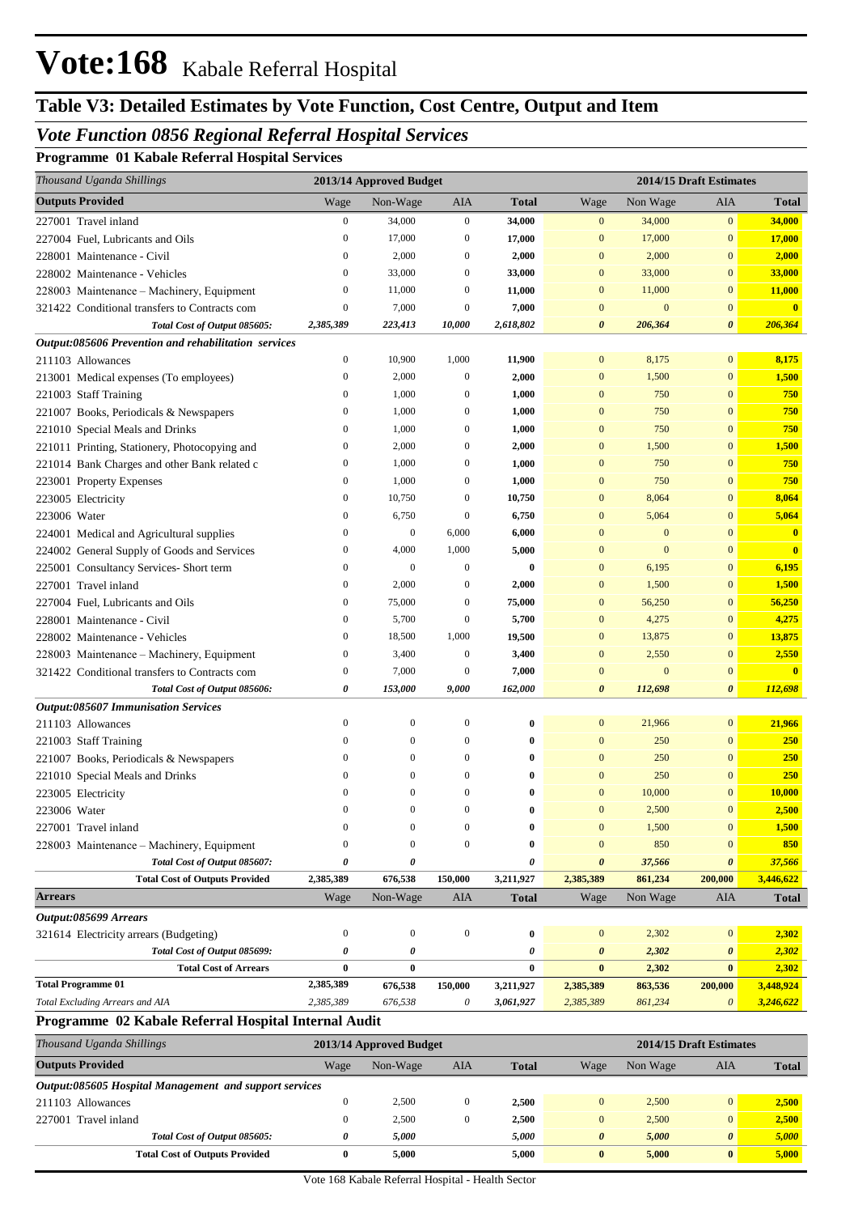# **Table V3: Detailed Estimates by Vote Function, Cost Centre, Output and Item**

### *Vote Function 0856 Regional Referral Hospital Services*

**Programme 01 Kabale Referral Hospital Services**

| Thousand Uganda Shillings                            | 2013/14 Approved Budget |                  |                  |              | 2014/15 Draft Estimates |              |                       |                         |
|------------------------------------------------------|-------------------------|------------------|------------------|--------------|-------------------------|--------------|-----------------------|-------------------------|
| <b>Outputs Provided</b>                              | Wage                    | Non-Wage         | AIA              | <b>Total</b> | Wage                    | Non Wage     | AIA                   | <b>Total</b>            |
| 227001 Travel inland                                 | $\boldsymbol{0}$        | 34,000           | $\boldsymbol{0}$ | 34,000       | $\boldsymbol{0}$        | 34,000       | $\boldsymbol{0}$      | 34,000                  |
| 227004 Fuel, Lubricants and Oils                     | $\mathbf{0}$            | 17,000           | $\boldsymbol{0}$ | 17,000       | $\mathbf{0}$            | 17,000       | $\bf{0}$              | 17,000                  |
| 228001 Maintenance - Civil                           | $\mathbf{0}$            | 2,000            | $\boldsymbol{0}$ | 2,000        | $\mathbf{0}$            | 2,000        | $\bf{0}$              | 2,000                   |
| 228002 Maintenance - Vehicles                        | $\mathbf{0}$            | 33,000           | $\boldsymbol{0}$ | 33,000       | $\mathbf{0}$            | 33,000       | $\bf{0}$              | 33,000                  |
| 228003 Maintenance - Machinery, Equipment            | $\overline{0}$          | 11,000           | $\boldsymbol{0}$ | 11,000       | $\mathbf{0}$            | 11,000       | $\bf{0}$              | 11,000                  |
| 321422 Conditional transfers to Contracts com        | $\boldsymbol{0}$        | 7,000            | $\boldsymbol{0}$ | 7,000        | $\mathbf{0}$            | $\mathbf{0}$ | $\mathbf{0}$          | $\overline{\mathbf{0}}$ |
| Total Cost of Output 085605:                         | 2,385,389               | 223,413          | 10,000           | 2,618,802    | 0                       | 206,364      | 0                     | 206,364                 |
| Output:085606 Prevention and rehabilitation services |                         |                  |                  |              |                         |              |                       |                         |
| 211103 Allowances                                    | $\boldsymbol{0}$        | 10,900           | 1,000            | 11,900       | $\mathbf{0}$            | 8,175        | $\mathbf{0}$          | 8,175                   |
| 213001 Medical expenses (To employees)               | $\boldsymbol{0}$        | 2,000            | $\boldsymbol{0}$ | 2,000        | $\mathbf{0}$            | 1,500        | $\mathbf{0}$          | 1,500                   |
| 221003 Staff Training                                | $\boldsymbol{0}$        | 1,000            | $\boldsymbol{0}$ | 1,000        | $\mathbf{0}$            | 750          | $\mathbf{0}$          | 750                     |
| 221007 Books, Periodicals & Newspapers               | $\boldsymbol{0}$        | 1,000            | $\boldsymbol{0}$ | 1,000        | $\mathbf{0}$            | 750          | $\mathbf{0}$          | 750                     |
| 221010 Special Meals and Drinks                      | $\boldsymbol{0}$        | 1,000            | $\boldsymbol{0}$ | 1,000        | $\mathbf{0}$            | 750          | $\mathbf{0}$          | 750                     |
| 221011 Printing, Stationery, Photocopying and        | $\boldsymbol{0}$        | 2,000            | $\boldsymbol{0}$ | 2,000        | $\mathbf{0}$            | 1,500        | $\mathbf{0}$          | 1,500                   |
| 221014 Bank Charges and other Bank related c         | $\boldsymbol{0}$        | 1,000            | $\boldsymbol{0}$ | 1,000        | $\mathbf{0}$            | 750          | $\mathbf{0}$          | 750                     |
| 223001 Property Expenses                             | $\boldsymbol{0}$        | 1,000            | $\boldsymbol{0}$ | 1,000        | $\mathbf{0}$            | 750          | $\mathbf{0}$          | 750                     |
| 223005 Electricity                                   | $\boldsymbol{0}$        | 10,750           | $\boldsymbol{0}$ | 10,750       | $\mathbf{0}$            | 8,064        | $\mathbf{0}$          | 8,064                   |
| 223006 Water                                         | $\boldsymbol{0}$        | 6,750            | $\boldsymbol{0}$ | 6,750        | $\mathbf{0}$            | 5,064        | $\mathbf{0}$          | 5,064                   |
| 224001 Medical and Agricultural supplies             | $\boldsymbol{0}$        | $\boldsymbol{0}$ | 6,000            | 6,000        | $\mathbf{0}$            | $\mathbf{0}$ | $\mathbf{0}$          | $\mathbf{0}$            |
| 224002 General Supply of Goods and Services          | $\boldsymbol{0}$        | 4,000            | 1,000            | 5,000        | $\mathbf{0}$            | $\mathbf{0}$ | $\mathbf{0}$          | $\overline{\mathbf{0}}$ |
| 225001 Consultancy Services- Short term              | $\boldsymbol{0}$        | $\mathbf{0}$     | $\boldsymbol{0}$ | 0            | $\mathbf{0}$            | 6,195        | $\bf{0}$              | 6,195                   |
| 227001 Travel inland                                 | $\boldsymbol{0}$        | 2,000            | $\boldsymbol{0}$ | 2,000        | $\mathbf{0}$            | 1,500        | $\bf{0}$              | 1,500                   |
| 227004 Fuel, Lubricants and Oils                     | $\boldsymbol{0}$        | 75,000           | $\boldsymbol{0}$ | 75,000       | $\mathbf{0}$            | 56,250       | $\bf{0}$              | 56,250                  |
| 228001 Maintenance - Civil                           | $\boldsymbol{0}$        | 5,700            | $\boldsymbol{0}$ | 5,700        | $\mathbf{0}$            | 4,275        | $\bf{0}$              | 4,275                   |
| 228002 Maintenance - Vehicles                        | $\boldsymbol{0}$        | 18,500           | 1,000            | 19,500       | $\mathbf{0}$            | 13,875       | $\mathbf{0}$          | 13,875                  |
| 228003 Maintenance - Machinery, Equipment            | $\boldsymbol{0}$        | 3,400            | $\boldsymbol{0}$ | 3,400        | $\mathbf{0}$            | 2,550        | $\bf{0}$              | 2,550                   |
| 321422 Conditional transfers to Contracts com        | $\boldsymbol{0}$        | 7,000            | $\boldsymbol{0}$ | 7,000        | $\mathbf{0}$            | $\mathbf{0}$ | $\mathbf{0}$          | $\mathbf{0}$            |
| Total Cost of Output 085606:                         | 0                       | 153,000          | 9,000            | 162,000      | 0                       | 112,698      | 0                     | 112,698                 |
| <b>Output:085607 Immunisation Services</b>           |                         |                  |                  |              |                         |              |                       |                         |
| 211103 Allowances                                    | $\boldsymbol{0}$        | $\boldsymbol{0}$ | $\boldsymbol{0}$ | 0            | $\mathbf{0}$            | 21,966       | $\mathbf{0}$          | 21,966                  |
| 221003 Staff Training                                | $\boldsymbol{0}$        | $\mathbf{0}$     | $\boldsymbol{0}$ | 0            | $\mathbf{0}$            | 250          | $\mathbf{0}$          | 250                     |
| 221007 Books, Periodicals & Newspapers               | $\boldsymbol{0}$        | $\mathbf{0}$     | $\boldsymbol{0}$ | 0            | $\mathbf{0}$            | 250          | $\bf{0}$              | 250                     |
| 221010 Special Meals and Drinks                      | $\mathbf{0}$            | $\mathbf{0}$     | $\theta$         | 0            | $\overline{0}$          | 250          | $\mathbf{0}$          | 250                     |
| 223005 Electricity                                   | $\mathbf{0}$            | $\mathbf{0}$     | $\overline{0}$   | 0            | $\mathbf{0}$            | 10,000       | $\mathbf{0}$          | 10,000                  |
| 223006 Water                                         | $\mathbf{0}$            | 0                | $\theta$         | 0            | $\mathbf{0}$            | 2.500        | $\mathbf{0}$          | 2.500                   |
| 227001 Travel inland                                 | $\boldsymbol{0}$        | $\boldsymbol{0}$ | $\boldsymbol{0}$ | $\bf{0}$     | $\mathbf{0}$            | 1,500        | $\boldsymbol{0}$      | 1,500                   |
| 228003 Maintenance - Machinery, Equipment            | $\overline{0}$          | $\mathbf{0}$     | $\mathbf{0}$     | 0            | $\mathbf{0}$            | 850          | $\bf{0}$              | 850                     |
| Total Cost of Output 085607:                         | 0                       | 0                |                  | 0            | 0                       | 37,566       | 0                     | 37,566                  |
| <b>Total Cost of Outputs Provided</b>                | 2,385,389               | 676,538          | 150,000          | 3,211,927    | 2,385,389               | 861,234      | 200,000               | 3,446,622               |
| <b>Arrears</b>                                       | Wage                    | Non-Wage         | AIA              | <b>Total</b> | Wage                    | Non Wage     | AIA                   | <b>Total</b>            |
| Output:085699 Arrears                                |                         |                  |                  |              |                         |              |                       |                         |
| 321614 Electricity arrears (Budgeting)               | $\boldsymbol{0}$        | $\boldsymbol{0}$ | $\boldsymbol{0}$ | $\bf{0}$     | $\boldsymbol{0}$        | 2,302        | $\boldsymbol{0}$      | 2,302                   |
| Total Cost of Output 085699:                         | 0                       | 0                |                  | 0            | 0                       | 2,302        | 0                     | 2,302                   |
| <b>Total Cost of Arrears</b>                         | $\bf{0}$                | $\bf{0}$         |                  | $\bf{0}$     | $\bf{0}$                | 2,302        | $\bf{0}$              | 2,302                   |
| <b>Total Programme 01</b>                            | 2,385,389               | 676,538          | 150,000          | 3,211,927    | 2,385,389               | 863,536      | 200,000               | 3,448,924               |
| Total Excluding Arrears and AIA                      | 2,385,389               | 676,538          | 0                | 3,061,927    | 2,385,389               | 861,234      | $\boldsymbol{\theta}$ | 3,246,622               |
| Programme 02 Kabale Referral Hospital Internal Audit |                         |                  |                  |              |                         |              |                       |                         |

| Thousand Uganda Shillings                              | 2013/14 Approved Budget |          |              |              | 2014/15 Draft Estimates |          |                       |              |  |  |  |  |
|--------------------------------------------------------|-------------------------|----------|--------------|--------------|-------------------------|----------|-----------------------|--------------|--|--|--|--|
| <b>Outputs Provided</b>                                | Wage                    | Non-Wage | AIA          | <b>Total</b> | Wage                    | Non Wage | AIA                   | <b>Total</b> |  |  |  |  |
| Output:085605 Hospital Management and support services |                         |          |              |              |                         |          |                       |              |  |  |  |  |
| 211103 Allowances                                      |                         | 2,500    | $\mathbf{0}$ | 2.500        | $\mathbf{0}$            | 2.500    | $\overline{0}$        | 2,500        |  |  |  |  |
| 227001 Travel inland                                   |                         | 2,500    | $\mathbf{0}$ | 2.500        | $\mathbf{0}$            | 2.500    | $\overline{0}$        | 2,500        |  |  |  |  |
| Total Cost of Output 085605:                           | 0                       | 5.000    |              | 5.000        | $\theta$                | 5.000    | $\boldsymbol{\theta}$ | 5,000        |  |  |  |  |
| <b>Total Cost of Outputs Provided</b>                  | 0                       | 5,000    |              | 5,000        | $\bf{0}$                | 5.000    | $\mathbf{0}$          | 5,000        |  |  |  |  |